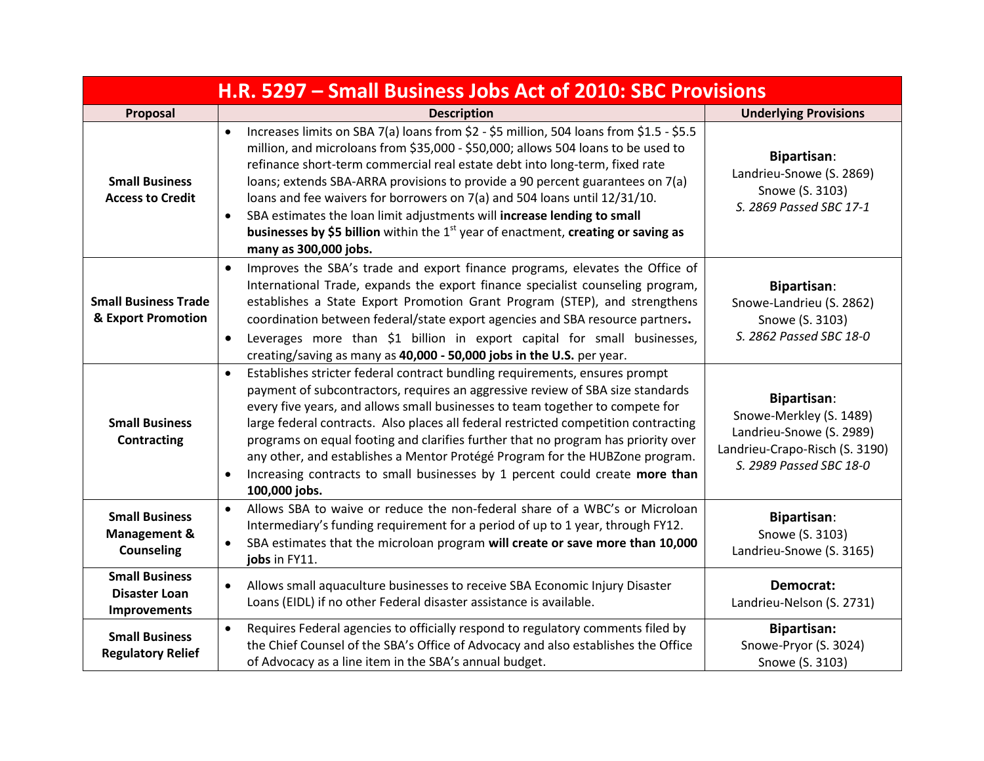| H.R. 5297 - Small Business Jobs Act of 2010: SBC Provisions           |                                                                                                                                                                                                                                                                                                                                                                                                                                                                                                                                                                                                                                               |                                                                                                                                        |
|-----------------------------------------------------------------------|-----------------------------------------------------------------------------------------------------------------------------------------------------------------------------------------------------------------------------------------------------------------------------------------------------------------------------------------------------------------------------------------------------------------------------------------------------------------------------------------------------------------------------------------------------------------------------------------------------------------------------------------------|----------------------------------------------------------------------------------------------------------------------------------------|
| Proposal                                                              | <b>Description</b>                                                                                                                                                                                                                                                                                                                                                                                                                                                                                                                                                                                                                            | <b>Underlying Provisions</b>                                                                                                           |
| <b>Small Business</b><br><b>Access to Credit</b>                      | Increases limits on SBA 7(a) loans from \$2 - \$5 million, 504 loans from \$1.5 - \$5.5<br>$\bullet$<br>million, and microloans from \$35,000 - \$50,000; allows 504 loans to be used to<br>refinance short-term commercial real estate debt into long-term, fixed rate<br>loans; extends SBA-ARRA provisions to provide a 90 percent guarantees on 7(a)<br>loans and fee waivers for borrowers on 7(a) and 504 loans until 12/31/10.<br>SBA estimates the loan limit adjustments will increase lending to small<br>$\bullet$<br>businesses by \$5 billion within the $1st$ year of enactment, creating or saving as<br>many as 300,000 jobs. | <b>Bipartisan:</b><br>Landrieu-Snowe (S. 2869)<br>Snowe (S. 3103)<br>S. 2869 Passed SBC 17-1                                           |
| <b>Small Business Trade</b><br>& Export Promotion                     | Improves the SBA's trade and export finance programs, elevates the Office of<br>$\bullet$<br>International Trade, expands the export finance specialist counseling program,<br>establishes a State Export Promotion Grant Program (STEP), and strengthens<br>coordination between federal/state export agencies and SBA resource partners.<br>Leverages more than \$1 billion in export capital for small businesses,<br>$\bullet$<br>creating/saving as many as 40,000 - 50,000 jobs in the U.S. per year.                                                                                                                                   | Bipartisan:<br>Snowe-Landrieu (S. 2862)<br>Snowe (S. 3103)<br>S. 2862 Passed SBC 18-0                                                  |
| <b>Small Business</b><br><b>Contracting</b>                           | Establishes stricter federal contract bundling requirements, ensures prompt<br>$\bullet$<br>payment of subcontractors, requires an aggressive review of SBA size standards<br>every five years, and allows small businesses to team together to compete for<br>large federal contracts. Also places all federal restricted competition contracting<br>programs on equal footing and clarifies further that no program has priority over<br>any other, and establishes a Mentor Protégé Program for the HUBZone program.<br>Increasing contracts to small businesses by 1 percent could create more than<br>$\bullet$<br>100,000 jobs.         | <b>Bipartisan:</b><br>Snowe-Merkley (S. 1489)<br>Landrieu-Snowe (S. 2989)<br>Landrieu-Crapo-Risch (S. 3190)<br>S. 2989 Passed SBC 18-0 |
| <b>Small Business</b><br><b>Management &amp;</b><br><b>Counseling</b> | Allows SBA to waive or reduce the non-federal share of a WBC's or Microloan<br>$\bullet$<br>Intermediary's funding requirement for a period of up to 1 year, through FY12.<br>SBA estimates that the microloan program will create or save more than 10,000<br>$\bullet$<br>jobs in FY11.                                                                                                                                                                                                                                                                                                                                                     | <b>Bipartisan:</b><br>Snowe (S. 3103)<br>Landrieu-Snowe (S. 3165)                                                                      |
| <b>Small Business</b><br><b>Disaster Loan</b><br>Improvements         | Allows small aquaculture businesses to receive SBA Economic Injury Disaster<br>$\bullet$<br>Loans (EIDL) if no other Federal disaster assistance is available.                                                                                                                                                                                                                                                                                                                                                                                                                                                                                | Democrat:<br>Landrieu-Nelson (S. 2731)                                                                                                 |
| <b>Small Business</b><br><b>Regulatory Relief</b>                     | Requires Federal agencies to officially respond to regulatory comments filed by<br>$\bullet$<br>the Chief Counsel of the SBA's Office of Advocacy and also establishes the Office<br>of Advocacy as a line item in the SBA's annual budget.                                                                                                                                                                                                                                                                                                                                                                                                   | <b>Bipartisan:</b><br>Snowe-Pryor (S. 3024)<br>Snowe (S. 3103)                                                                         |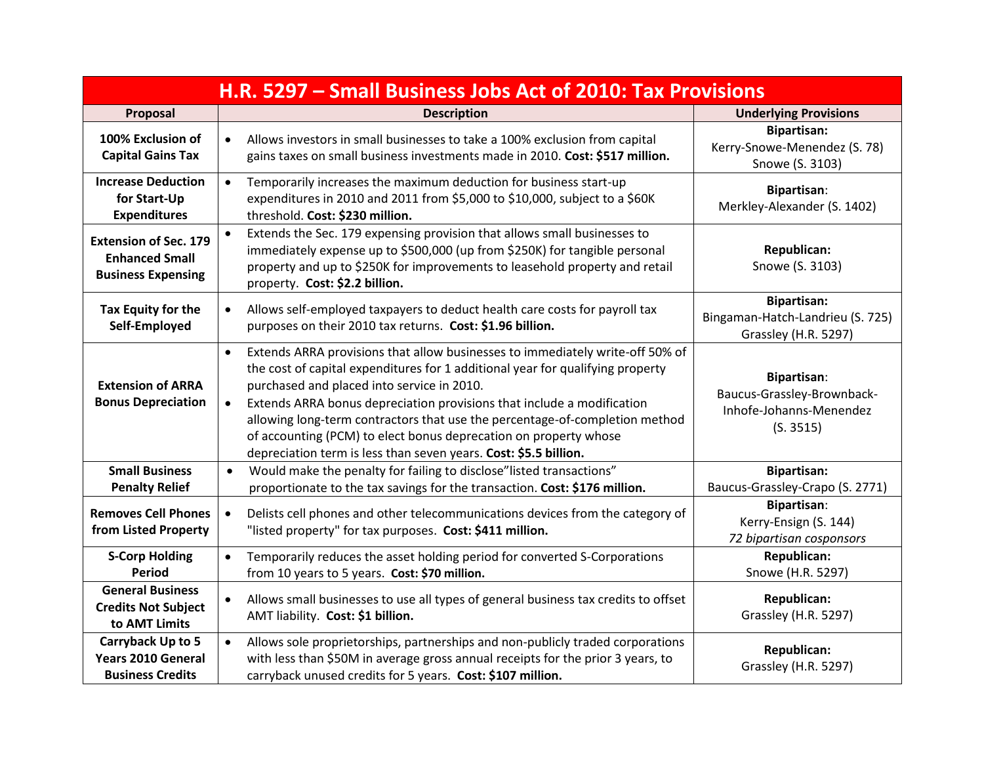| H.R. 5297 - Small Business Jobs Act of 2010: Tax Provisions                        |                                                                                                                                                                                                                                                                                                                                                                                                                                                                                                                                          |                                                                                          |  |
|------------------------------------------------------------------------------------|------------------------------------------------------------------------------------------------------------------------------------------------------------------------------------------------------------------------------------------------------------------------------------------------------------------------------------------------------------------------------------------------------------------------------------------------------------------------------------------------------------------------------------------|------------------------------------------------------------------------------------------|--|
| Proposal                                                                           | <b>Description</b>                                                                                                                                                                                                                                                                                                                                                                                                                                                                                                                       | <b>Underlying Provisions</b>                                                             |  |
| 100% Exclusion of<br><b>Capital Gains Tax</b>                                      | Allows investors in small businesses to take a 100% exclusion from capital<br>$\bullet$<br>gains taxes on small business investments made in 2010. Cost: \$517 million.                                                                                                                                                                                                                                                                                                                                                                  | <b>Bipartisan:</b><br>Kerry-Snowe-Menendez (S. 78)<br>Snowe (S. 3103)                    |  |
| <b>Increase Deduction</b><br>for Start-Up<br><b>Expenditures</b>                   | Temporarily increases the maximum deduction for business start-up<br>$\bullet$<br>expenditures in 2010 and 2011 from \$5,000 to \$10,000, subject to a \$60K<br>threshold. Cost: \$230 million.                                                                                                                                                                                                                                                                                                                                          | <b>Bipartisan:</b><br>Merkley-Alexander (S. 1402)                                        |  |
| <b>Extension of Sec. 179</b><br><b>Enhanced Small</b><br><b>Business Expensing</b> | Extends the Sec. 179 expensing provision that allows small businesses to<br>immediately expense up to \$500,000 (up from \$250K) for tangible personal<br>property and up to \$250K for improvements to leasehold property and retail<br>property. Cost: \$2.2 billion.                                                                                                                                                                                                                                                                  | Republican:<br>Snowe (S. 3103)                                                           |  |
| Tax Equity for the<br>Self-Employed                                                | Allows self-employed taxpayers to deduct health care costs for payroll tax<br>$\bullet$<br>purposes on their 2010 tax returns. Cost: \$1.96 billion.                                                                                                                                                                                                                                                                                                                                                                                     | <b>Bipartisan:</b><br>Bingaman-Hatch-Landrieu (S. 725)<br>Grassley (H.R. 5297)           |  |
| <b>Extension of ARRA</b><br><b>Bonus Depreciation</b>                              | Extends ARRA provisions that allow businesses to immediately write-off 50% of<br>$\bullet$<br>the cost of capital expenditures for 1 additional year for qualifying property<br>purchased and placed into service in 2010.<br>Extends ARRA bonus depreciation provisions that include a modification<br>$\bullet$<br>allowing long-term contractors that use the percentage-of-completion method<br>of accounting (PCM) to elect bonus deprecation on property whose<br>depreciation term is less than seven years. Cost: \$5.5 billion. | <b>Bipartisan:</b><br>Baucus-Grassley-Brownback-<br>Inhofe-Johanns-Menendez<br>(S. 3515) |  |
| <b>Small Business</b><br><b>Penalty Relief</b>                                     | Would make the penalty for failing to disclose" listed transactions"<br>$\bullet$<br>proportionate to the tax savings for the transaction. Cost: \$176 million.                                                                                                                                                                                                                                                                                                                                                                          | <b>Bipartisan:</b><br>Baucus-Grassley-Crapo (S. 2771)                                    |  |
| <b>Removes Cell Phones</b><br>from Listed Property                                 | Delists cell phones and other telecommunications devices from the category of<br>$\bullet$<br>"listed property" for tax purposes. Cost: \$411 million.                                                                                                                                                                                                                                                                                                                                                                                   | <b>Bipartisan:</b><br>Kerry-Ensign (S. 144)<br>72 bipartisan cosponsors                  |  |
| <b>S-Corp Holding</b><br>Period                                                    | Temporarily reduces the asset holding period for converted S-Corporations<br>$\bullet$<br>from 10 years to 5 years. Cost: \$70 million.                                                                                                                                                                                                                                                                                                                                                                                                  | Republican:<br>Snowe (H.R. 5297)                                                         |  |
| <b>General Business</b><br><b>Credits Not Subject</b><br>to AMT Limits             | Allows small businesses to use all types of general business tax credits to offset<br>$\bullet$<br>AMT liability. Cost: \$1 billion.                                                                                                                                                                                                                                                                                                                                                                                                     | <b>Republican:</b><br>Grassley (H.R. 5297)                                               |  |
| Carryback Up to 5<br><b>Years 2010 General</b><br><b>Business Credits</b>          | Allows sole proprietorships, partnerships and non-publicly traded corporations<br>$\bullet$<br>with less than \$50M in average gross annual receipts for the prior 3 years, to<br>carryback unused credits for 5 years. Cost: \$107 million.                                                                                                                                                                                                                                                                                             | Republican:<br>Grassley (H.R. 5297)                                                      |  |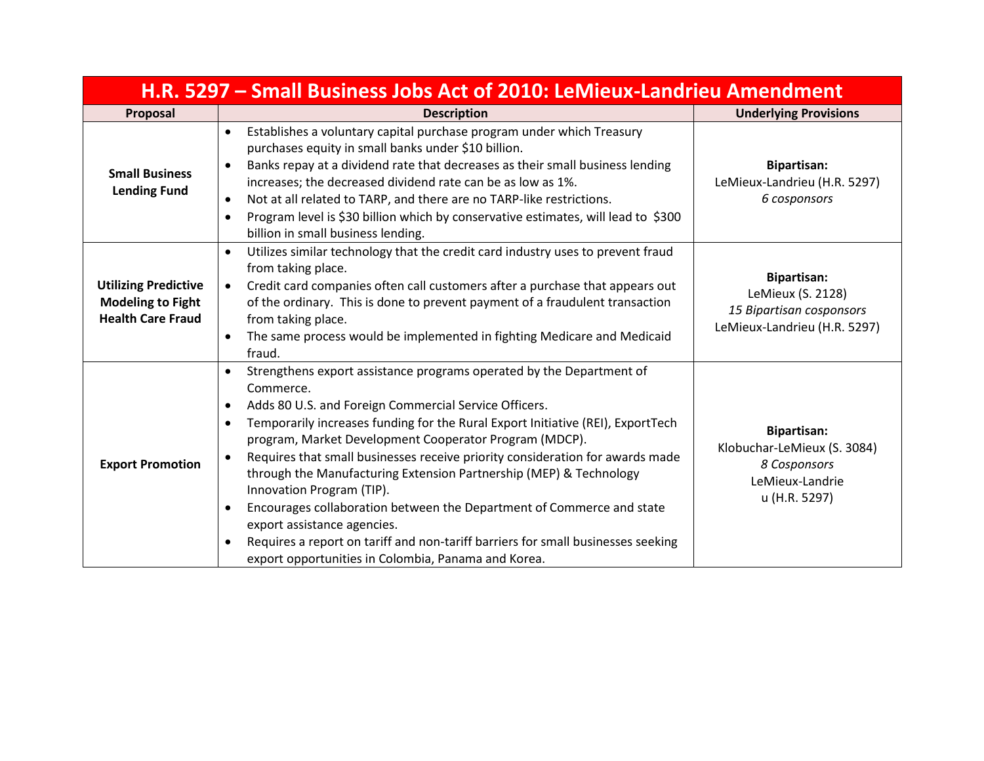| H.R. 5297 – Small Business Jobs Act of 2010: LeMieux-Landrieu Amendment             |                                                                                                                                                                                                                                                                                                                                                                                                                                                                                                                                                                                                                                                                                                                                                               |                                                                                                       |  |
|-------------------------------------------------------------------------------------|---------------------------------------------------------------------------------------------------------------------------------------------------------------------------------------------------------------------------------------------------------------------------------------------------------------------------------------------------------------------------------------------------------------------------------------------------------------------------------------------------------------------------------------------------------------------------------------------------------------------------------------------------------------------------------------------------------------------------------------------------------------|-------------------------------------------------------------------------------------------------------|--|
| Proposal                                                                            | <b>Description</b>                                                                                                                                                                                                                                                                                                                                                                                                                                                                                                                                                                                                                                                                                                                                            | <b>Underlying Provisions</b>                                                                          |  |
| <b>Small Business</b><br><b>Lending Fund</b>                                        | Establishes a voluntary capital purchase program under which Treasury<br>$\bullet$<br>purchases equity in small banks under \$10 billion.<br>Banks repay at a dividend rate that decreases as their small business lending<br>$\bullet$<br>increases; the decreased dividend rate can be as low as 1%.<br>Not at all related to TARP, and there are no TARP-like restrictions.<br>$\bullet$<br>Program level is \$30 billion which by conservative estimates, will lead to \$300<br>$\bullet$<br>billion in small business lending.                                                                                                                                                                                                                           | <b>Bipartisan:</b><br>LeMieux-Landrieu (H.R. 5297)<br>6 cosponsors                                    |  |
| <b>Utilizing Predictive</b><br><b>Modeling to Fight</b><br><b>Health Care Fraud</b> | Utilizes similar technology that the credit card industry uses to prevent fraud<br>$\bullet$<br>from taking place.<br>Credit card companies often call customers after a purchase that appears out<br>$\bullet$<br>of the ordinary. This is done to prevent payment of a fraudulent transaction<br>from taking place.<br>The same process would be implemented in fighting Medicare and Medicaid<br>$\bullet$<br>fraud.                                                                                                                                                                                                                                                                                                                                       | <b>Bipartisan:</b><br>LeMieux (S. 2128)<br>15 Bipartisan cosponsors<br>LeMieux-Landrieu (H.R. 5297)   |  |
| <b>Export Promotion</b>                                                             | Strengthens export assistance programs operated by the Department of<br>Commerce.<br>Adds 80 U.S. and Foreign Commercial Service Officers.<br>٠<br>Temporarily increases funding for the Rural Export Initiative (REI), ExportTech<br>$\bullet$<br>program, Market Development Cooperator Program (MDCP).<br>Requires that small businesses receive priority consideration for awards made<br>through the Manufacturing Extension Partnership (MEP) & Technology<br>Innovation Program (TIP).<br>Encourages collaboration between the Department of Commerce and state<br>$\bullet$<br>export assistance agencies.<br>Requires a report on tariff and non-tariff barriers for small businesses seeking<br>export opportunities in Colombia, Panama and Korea. | <b>Bipartisan:</b><br>Klobuchar-LeMieux (S. 3084)<br>8 Cosponsors<br>LeMieux-Landrie<br>u (H.R. 5297) |  |